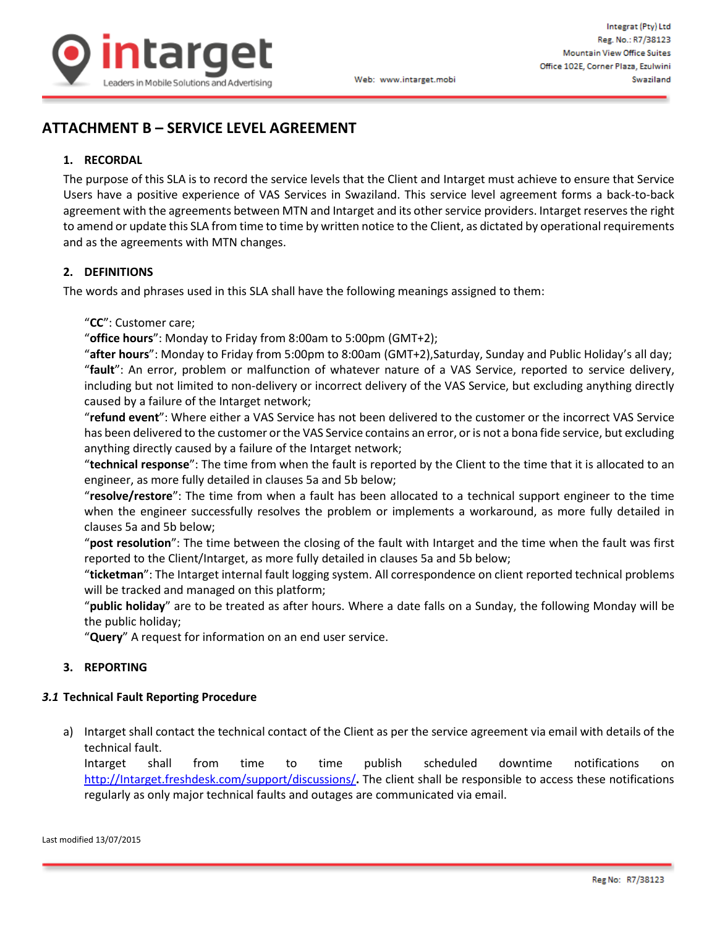

# **ATTACHMENT B – SERVICE LEVEL AGREEMENT**

#### **1. RECORDAL**

The purpose of this SLA is to record the service levels that the Client and Intarget must achieve to ensure that Service Users have a positive experience of VAS Services in Swaziland. This service level agreement forms a back-to-back agreement with the agreements between MTN and Intarget and its other service providers. Intarget reserves the right to amend or update this SLA from time to time by written notice to the Client, as dictated by operational requirements and as the agreements with MTN changes.

#### **2. DEFINITIONS**

The words and phrases used in this SLA shall have the following meanings assigned to them:

#### "**CC**": Customer care;

"**office hours**": Monday to Friday from 8:00am to 5:00pm (GMT+2);

"**after hours**": Monday to Friday from 5:00pm to 8:00am (GMT+2),Saturday, Sunday and Public Holiday's all day; "**fault**": An error, problem or malfunction of whatever nature of a VAS Service, reported to service delivery, including but not limited to non-delivery or incorrect delivery of the VAS Service, but excluding anything directly caused by a failure of the Intarget network;

"**refund event**": Where either a VAS Service has not been delivered to the customer or the incorrect VAS Service has been delivered to the customer or the VAS Service contains an error, or is not a bona fide service, but excluding anything directly caused by a failure of the Intarget network;

"**technical response**": The time from when the fault is reported by the Client to the time that it is allocated to an engineer, as more fully detailed in clauses 5a and 5b below;

"**resolve/restore**": The time from when a fault has been allocated to a technical support engineer to the time when the engineer successfully resolves the problem or implements a workaround, as more fully detailed in clauses 5a and 5b below;

"**post resolution**": The time between the closing of the fault with Intarget and the time when the fault was first reported to the Client/Intarget, as more fully detailed in clauses 5a and 5b below;

"**ticketman**": The Intarget internal fault logging system. All correspondence on client reported technical problems will be tracked and managed on this platform;

"**public holiday**" are to be treated as after hours. Where a date falls on a Sunday, the following Monday will be the public holiday;

"**Query**" A request for information on an end user service.

### **3. REPORTING**

#### *3.1* **Technical Fault Reporting Procedure**

a) Intarget shall contact the technical contact of the Client as per the service agreement via email with details of the technical fault.

Intarget shall from time to time publish scheduled downtime notifications on [http://Intarget.freshdesk.com/support/discussions/](http://integrat.freshdesk.com/support/discussions/)**.** The client shall be responsible to access these notifications regularly as only major technical faults and outages are communicated via email.

Last modified 13/07/2015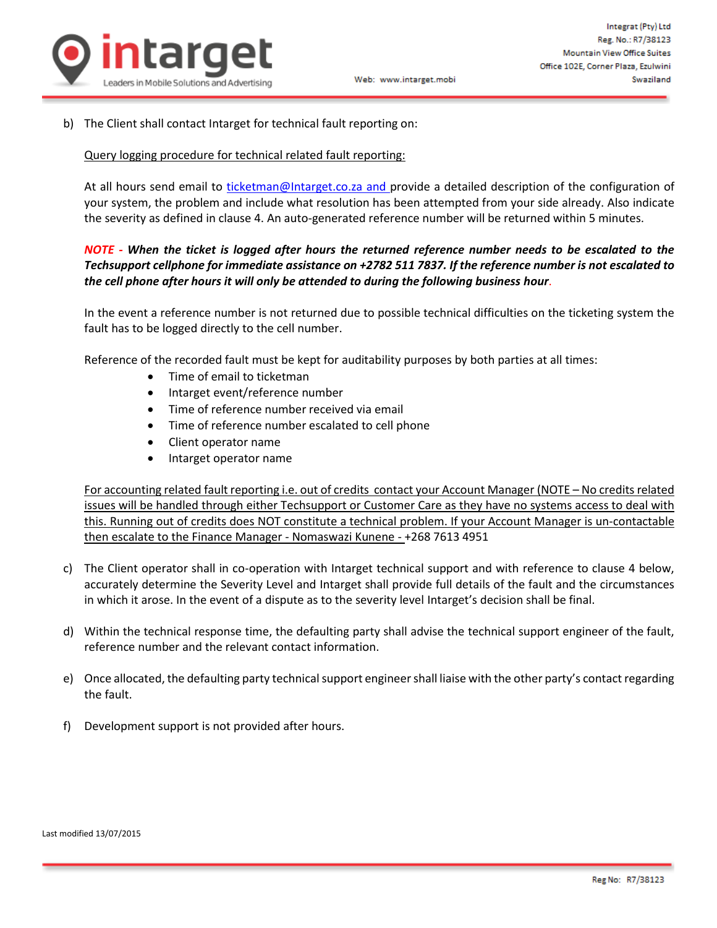

b) The Client shall contact Intarget for technical fault reporting on:

#### Query logging procedure for technical related fault reporting:

At all hours send email to [ticketman@Intarget.co.za](mailto:ticketman@integrat.co.za) and provide a detailed description of the configuration of your system, the problem and include what resolution has been attempted from your side already. Also indicate the severity as defined in clause 4. An auto-generated reference number will be returned within 5 minutes.

## *NOTE - When the ticket is logged after hours the returned reference number needs to be escalated to the Techsupport cellphone for immediate assistance on +2782 511 7837. If the reference number is not escalated to the cell phone after hours it will only be attended to during the following business hour*.

In the event a reference number is not returned due to possible technical difficulties on the ticketing system the fault has to be logged directly to the cell number.

Reference of the recorded fault must be kept for auditability purposes by both parties at all times:

- Time of email to ticketman
- Intarget event/reference number
- Time of reference number received via email
- Time of reference number escalated to cell phone
- Client operator name
- Intarget operator name

For accounting related fault reporting i.e. out of credits contact your Account Manager (NOTE – No credits related issues will be handled through either Techsupport or Customer Care as they have no systems access to deal with this. Running out of credits does NOT constitute a technical problem. If your Account Manager is un-contactable then escalate to the Finance Manager - Nomaswazi Kunene - +268 7613 4951

- c) The Client operator shall in co-operation with Intarget technical support and with reference to clause 4 below, accurately determine the Severity Level and Intarget shall provide full details of the fault and the circumstances in which it arose. In the event of a dispute as to the severity level Intarget's decision shall be final.
- d) Within the technical response time, the defaulting party shall advise the technical support engineer of the fault, reference number and the relevant contact information.
- e) Once allocated, the defaulting party technical support engineer shall liaise with the other party's contact regarding the fault.
- f) Development support is not provided after hours.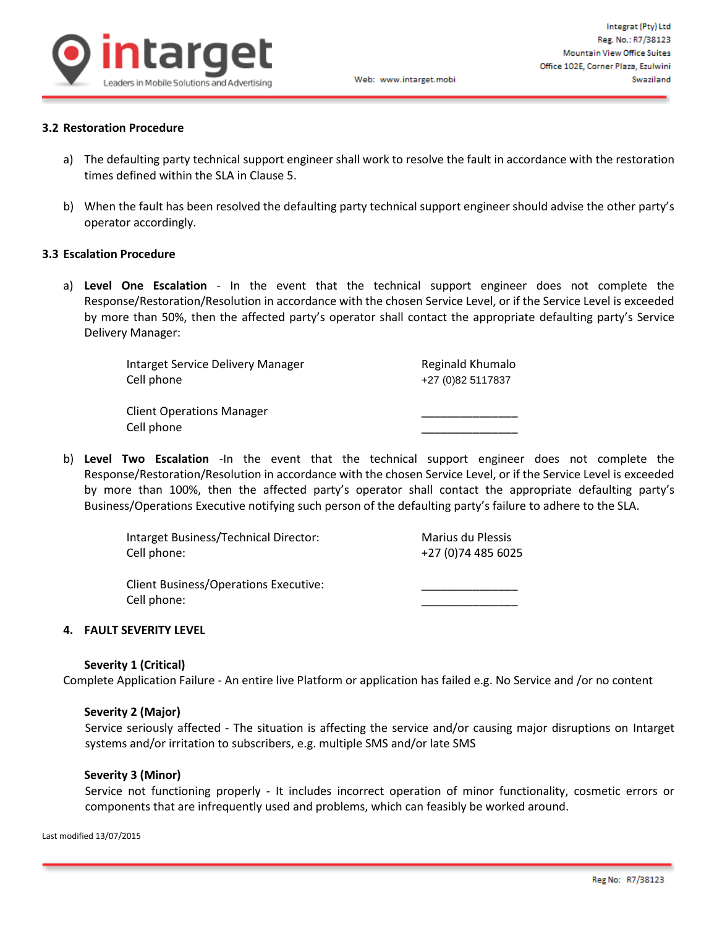

### **3.2 Restoration Procedure**

- a) The defaulting party technical support engineer shall work to resolve the fault in accordance with the restoration times defined within the SLA in Clause 5.
- b) When the fault has been resolved the defaulting party technical support engineer should advise the other party's operator accordingly.

#### **3.3 Escalation Procedure**

a) **Level One Escalation** - In the event that the technical support engineer does not complete the Response/Restoration/Resolution in accordance with the chosen Service Level, or if the Service Level is exceeded by more than 50%, then the affected party's operator shall contact the appropriate defaulting party's Service Delivery Manager:

| Intarget Service Delivery Manager | Reginald Khumalo  |
|-----------------------------------|-------------------|
| Cell phone                        | +27 (0)82 5117837 |
|                                   |                   |
| <b>Client Operations Manager</b>  |                   |
| Cell phone                        |                   |

b) **Level Two Escalation** -In the event that the technical support engineer does not complete the Response/Restoration/Resolution in accordance with the chosen Service Level, or if the Service Level is exceeded by more than 100%, then the affected party's operator shall contact the appropriate defaulting party's Business/Operations Executive notifying such person of the defaulting party's failure to adhere to the SLA.

| Intarget Business/Technical Director:                       | Marius du Plessis   |
|-------------------------------------------------------------|---------------------|
| Cell phone:                                                 | +27 (0) 74 485 6025 |
| <b>Client Business/Operations Executive:</b><br>Cell phone: |                     |

#### **4. FAULT SEVERITY LEVEL**

#### **Severity 1 (Critical)**

Complete Application Failure - An entire live Platform or application has failed e.g. No Service and /or no content

#### **Severity 2 (Major)**

Service seriously affected - The situation is affecting the service and/or causing major disruptions on Intarget systems and/or irritation to subscribers, e.g. multiple SMS and/or late SMS

#### **Severity 3 (Minor)**

Service not functioning properly - It includes incorrect operation of minor functionality, cosmetic errors or components that are infrequently used and problems, which can feasibly be worked around.

Last modified 13/07/2015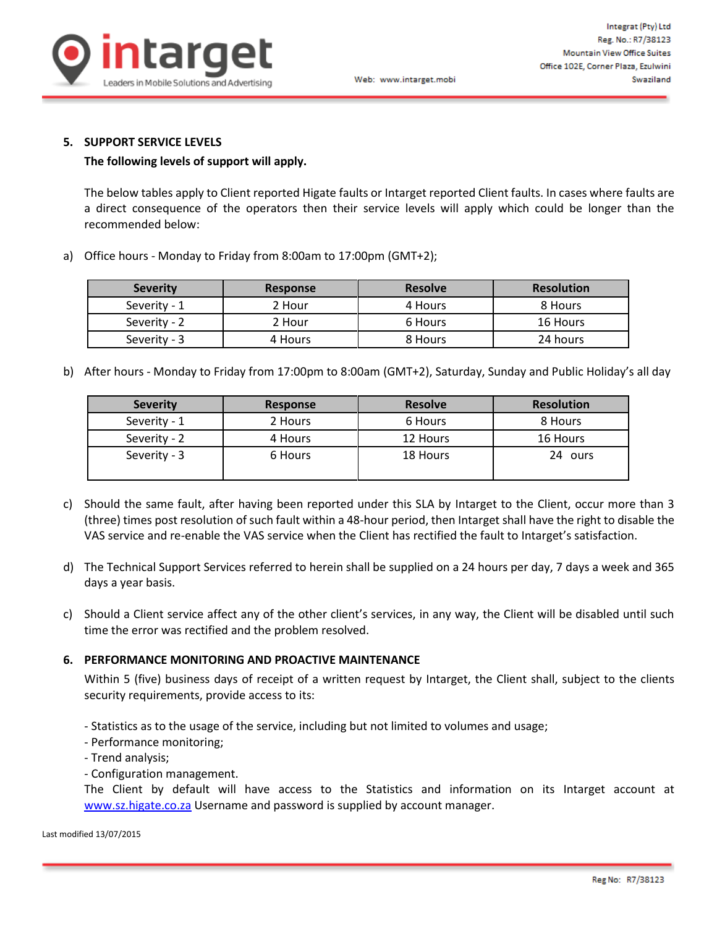

### **5. SUPPORT SERVICE LEVELS**

### **The following levels of support will apply.**

The below tables apply to Client reported Higate faults or Intarget reported Client faults. In cases where faults are a direct consequence of the operators then their service levels will apply which could be longer than the recommended below:

a) Office hours - Monday to Friday from 8:00am to 17:00pm (GMT+2);

| <b>Severity</b> | <b>Response</b> | <b>Resolve</b> | <b>Resolution</b> |
|-----------------|-----------------|----------------|-------------------|
| Severity - 1    | 2 Hour          | 4 Hours        | 8 Hours           |
| Severity - 2    | 2 Hour          | 6 Hours        | 16 Hours          |
| Severity - 3    | 4 Hours         | 8 Hours        | 24 hours          |

b) After hours - Monday to Friday from 17:00pm to 8:00am (GMT+2), Saturday, Sunday and Public Holiday's all day

| <b>Severity</b> | Response | <b>Resolve</b> | <b>Resolution</b> |
|-----------------|----------|----------------|-------------------|
| Severity - 1    | 2 Hours  | 6 Hours        | 8 Hours           |
| Severity - 2    | 4 Hours  | 12 Hours       | 16 Hours          |
| Severity - 3    | 6 Hours  | 18 Hours       | ours<br>24        |

- c) Should the same fault, after having been reported under this SLA by Intarget to the Client, occur more than 3 (three) times post resolution of such fault within a 48-hour period, then Intarget shall have the right to disable the VAS service and re-enable the VAS service when the Client has rectified the fault to Intarget's satisfaction.
- d) The Technical Support Services referred to herein shall be supplied on a 24 hours per day, 7 days a week and 365 days a year basis.
- c) Should a Client service affect any of the other client's services, in any way, the Client will be disabled until such time the error was rectified and the problem resolved.

### **6. PERFORMANCE MONITORING AND PROACTIVE MAINTENANCE**

Within 5 (five) business days of receipt of a written request by Intarget, the Client shall, subject to the clients security requirements, provide access to its:

- Statistics as to the usage of the service, including but not limited to volumes and usage;
- Performance monitoring;
- Trend analysis;
- Configuration management.

The Client by default will have access to the Statistics and information on its Intarget account at [www.sz.higate.co.za](http://www.sz.higate.co.za/) Username and password is supplied by account manager.

#### Last modified 13/07/2015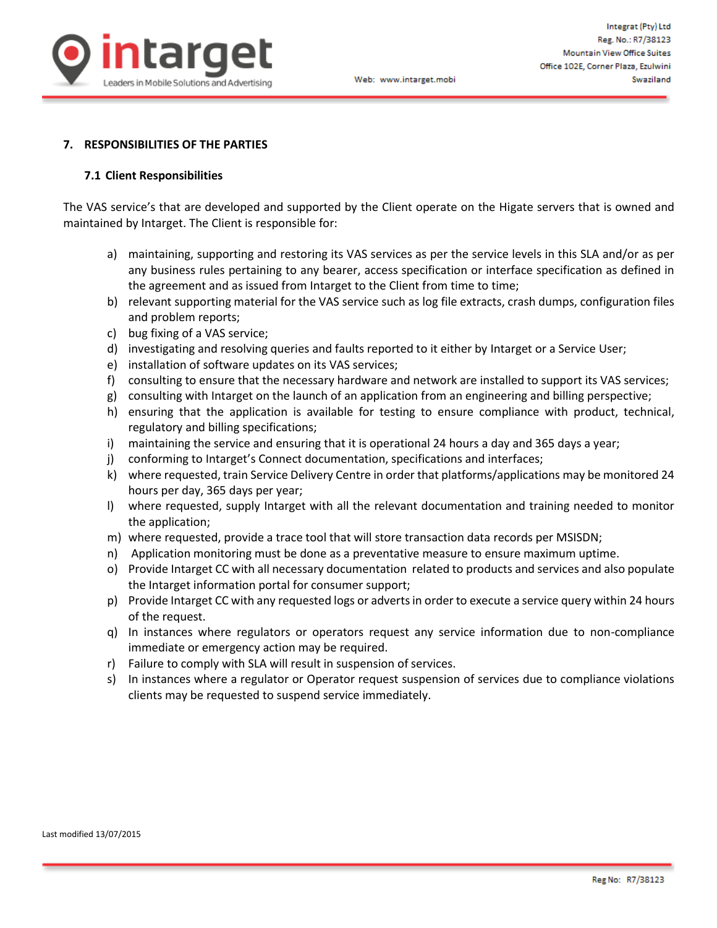

#### **7. RESPONSIBILITIES OF THE PARTIES**

#### **7.1 Client Responsibilities**

The VAS service's that are developed and supported by the Client operate on the Higate servers that is owned and maintained by Intarget. The Client is responsible for:

- a) maintaining, supporting and restoring its VAS services as per the service levels in this SLA and/or as per any business rules pertaining to any bearer, access specification or interface specification as defined in the agreement and as issued from Intarget to the Client from time to time;
- b) relevant supporting material for the VAS service such as log file extracts, crash dumps, configuration files and problem reports;
- c) bug fixing of a VAS service;
- d) investigating and resolving queries and faults reported to it either by Intarget or a Service User;
- e) installation of software updates on its VAS services;
- f) consulting to ensure that the necessary hardware and network are installed to support its VAS services;
- g) consulting with Intarget on the launch of an application from an engineering and billing perspective;
- h) ensuring that the application is available for testing to ensure compliance with product, technical, regulatory and billing specifications;
- i) maintaining the service and ensuring that it is operational 24 hours a day and 365 days a year;
- j) conforming to Intarget's Connect documentation, specifications and interfaces;
- k) where requested, train Service Delivery Centre in order that platforms/applications may be monitored 24 hours per day, 365 days per year;
- l) where requested, supply Intarget with all the relevant documentation and training needed to monitor the application;
- m) where requested, provide a trace tool that will store transaction data records per MSISDN;
- n) Application monitoring must be done as a preventative measure to ensure maximum uptime.
- o) Provide Intarget CC with all necessary documentation related to products and services and also populate the Intarget information portal for consumer support;
- p) Provide Intarget CC with any requested logs or advertsin order to execute a service query within 24 hours of the request.
- q) In instances where regulators or operators request any service information due to non-compliance immediate or emergency action may be required.
- r) Failure to comply with SLA will result in suspension of services.
- s) In instances where a regulator or Operator request suspension of services due to compliance violations clients may be requested to suspend service immediately.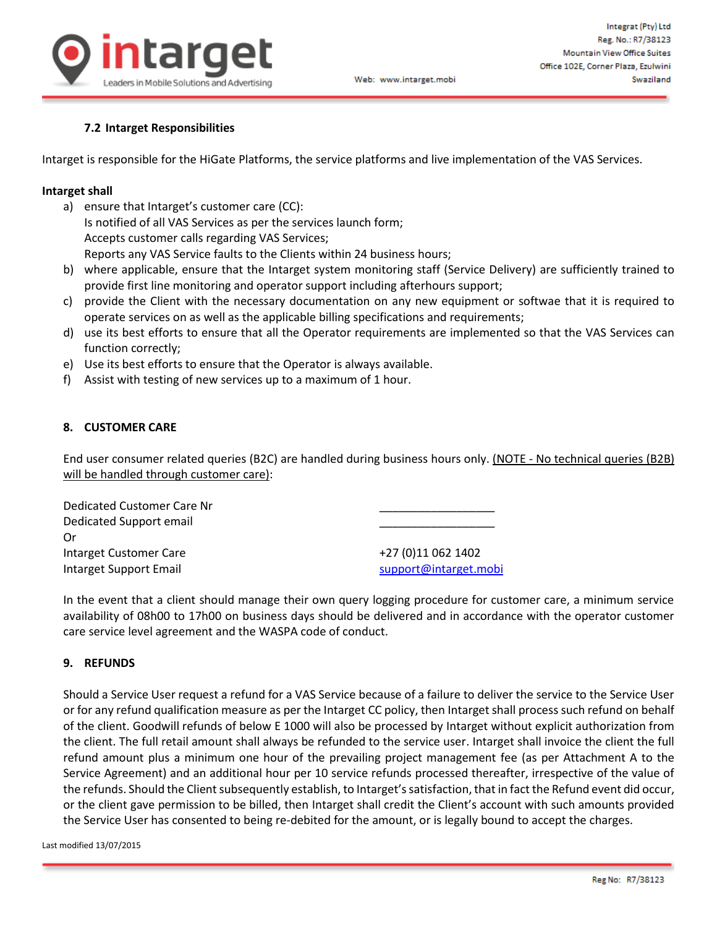

## **7.2 Intarget Responsibilities**

Intarget is responsible for the HiGate Platforms, the service platforms and live implementation of the VAS Services.

#### **Intarget shall**

- a) ensure that Intarget's customer care (CC): Is notified of all VAS Services as per the services launch form; Accepts customer calls regarding VAS Services; Reports any VAS Service faults to the Clients within 24 business hours;
- b) where applicable, ensure that the Intarget system monitoring staff (Service Delivery) are sufficiently trained to provide first line monitoring and operator support including afterhours support;

Web: www.intarget.mobi

- c) provide the Client with the necessary documentation on any new equipment or softwae that it is required to operate services on as well as the applicable billing specifications and requirements;
- d) use its best efforts to ensure that all the Operator requirements are implemented so that the VAS Services can function correctly;
- e) Use its best efforts to ensure that the Operator is always available.
- f) Assist with testing of new services up to a maximum of 1 hour.

#### **8. CUSTOMER CARE**

End user consumer related queries (B2C) are handled during business hours only. (NOTE - No technical queries (B2B) will be handled through customer care):

| Dedicated Customer Care Nr |                       |
|----------------------------|-----------------------|
| Dedicated Support email    |                       |
| 0r                         |                       |
| Intarget Customer Care     | +27 (0)11 062 1402    |
| Intarget Support Email     | support@intarget.mobi |

In the event that a client should manage their own query logging procedure for customer care, a minimum service availability of 08h00 to 17h00 on business days should be delivered and in accordance with the operator customer care service level agreement and the WASPA code of conduct.

#### **9. REFUNDS**

Should a Service User request a refund for a VAS Service because of a failure to deliver the service to the Service User or for any refund qualification measure as per the Intarget CC policy, then Intargetshall process such refund on behalf of the client. Goodwill refunds of below E 1000 will also be processed by Intarget without explicit authorization from the client. The full retail amount shall always be refunded to the service user. Intarget shall invoice the client the full refund amount plus a minimum one hour of the prevailing project management fee (as per Attachment A to the Service Agreement) and an additional hour per 10 service refunds processed thereafter, irrespective of the value of the refunds. Should the Client subsequently establish, to Intarget's satisfaction, that in fact the Refund event did occur, or the client gave permission to be billed, then Intarget shall credit the Client's account with such amounts provided the Service User has consented to being re-debited for the amount, or is legally bound to accept the charges.